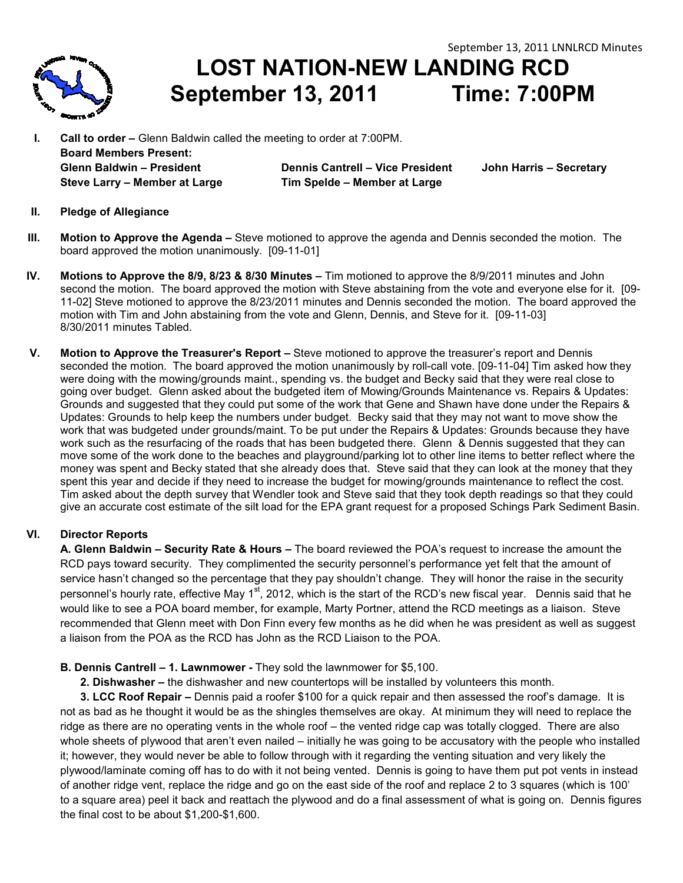

**LOST NATION NATION-NEW LANDING RCD September 13 13, 2011 Time: 7:00PM**

**I.** Call to order – Glenn Baldwin called the meeting to order at 7:00PM. **Board Members Present: Glenn Baldwin – President Steve Larry – Member at Large Dennis Cantrell – Vice President John Harris – Secretary Tim Spelde – Member at Large** 

- **II. Pledge of Allegiance**
- **III.** Motion to Approve the Agenda Steve motioned to approve the agenda and Dennis seconded the motion. The board approved the motion unanimously. [09-11-01] board approved the motion unanimously. [09-11-01]
- IV. Motions to Approve the 8/9, 8/23 & 8/30 Minutes Tim motioned to approve the 8/9/2011 minutes and John second the motion. The board approved the motion with Steve abstaining from the vote and everyone else for it. [09-11-02] Steve motioned to approve the 8/23/2011 minutes and Dennis seconded the motion. The board approved the motion with Tim and John abstaining from the vote and Glenn, Dennis, and Steve for it. [09-11-03] 8/30/2011 minutes Tabled.
- **V.** Motion to Approve the Treasurer's Report Steve motioned to approve the treasurer's report and Dennis seconded the motion. The board approved the motion unanimously by roll-call vote. [09-11-04] Tim asked how they were doing with the mowing/grounds maint., spending vs. the budget and Becky said that they were real close to going over budget.Glenn asked about the budgeted item of Mowing/Grounds Maintenance vs. Repairs & Updates: Grounds and suggested that they could put some of the work that Gene and Shawn have done under the Repairs & Updates: Grounds to help keep the numbers under budget. Becky said that they may not want to move show the work that was budgeted under grounds/maint. To be put under the Repairs & Updates: Grounds because they have work such as the resurfacing of the roads that has been budgeted there. Glenn & Dennis suggested that they can move some of the work done to the beaches and playground/parking lot to other line items to better reflect where the money was spent and Becky stated that she already does that. Steve said that they can look at the money that they spent this year and decide if they need to increase the budget for mowing/grounds maintenance to reflect the cost. spent this year and decide if they need to increase the budget for mowing/grounds maintenance to reflect the cost.<br>Tim asked about the depth survey that Wendler took and Steve said that they took depth readings so that the Tim asked about the depth survey that Wendler took and Steve said that they took depth readings so that they could<br>give an accurate cost estimate of the silt load for the EPA grant request for a proposed Schings Park Sedim dget. Glenn asked about the budgeted item of Mowing/Grounds Maintenance vs. Repairs<br>suggested that they could put some of the work that Gene and Shawn have done under th<br>unds to help keep the numbers under budget. Becky **ST NATION-NEW LANDING RCD**<br>
and the meeting to order at 700PM. Time: 7:00PM<br>
contine meeting to order at 700PM.<br>
Dennis Cantrell – Vice President John Harris – Secretary<br>
Tim Speide – Member at Large<br>
Steve motioned to ap

# **VI. Director Reports**

**A. Glenn Baldwin – Security Rate & Hours –** The board reviewed the POA's request to increase the amount the RCD pays toward security. They complimented the security personnel's performance yet felt that the amount of service hasn't changed so the percentage that they pay shouldn't change. They will honor the raise in the security personnel's hourly rate, effective May 1<sup>st</sup>, 2012, which is the start of the RCD's new fiscal year. Dennis said that he would like to see a POA board member, for example, Marty Portner, attend the RCD meetings as a liaison. Steve recommended that Glenn meet with Don Finn every few months as he did when he was president as well as suggest<br>a liaison from the POA as the RCD has John as the RCD Liaison to the POA. a liaison from the POA as the RCD has John as the RCD Liaison to the POA.

### **B. Dennis Cantrell – 1. Lawnmower -** They sold the lawnmower for \$5,100.

 **2. Dishwasher –** the dishwasher and new countertops will be installed by volunteers this month.

**2. Dishwasher –** the dishwasher and new countertops will be installed by volunteers this month.<br>3**. LCC Roof Repair –** Dennis paid a roofer \$100 for a quick repair and then assessed the roof's damage. It is not as bad as he thought it would be as the shingles themselves are okay. At minimum they will need to replace the not as bad as he thought it would be as the shingles themselves are okay. At minimum they will need to replace tl<br>ridge as there are no operating vents in the whole roof – the vented ridge cap was totally clogged. There whole sheets of plywood that aren't even nailed – initially he was going to be accusatory with the people who installed it; however, they would never be able to follow through with it regarding the venting situation and very likely the plywood/laminate coming off has to do with it not being vented. Dennis is going to have them put pot vents in instead it; however, they would never be able to follow through with it regarding the venting situation and very likely the<br>plywood/laminate coming off has to do with it not being vented. Dennis is going to have them put pot vent to a square area) peel it back and reattach the plywood and do a final assessment of what is going on. Dennis figures the final cost to be about \$1,200-\$1,600.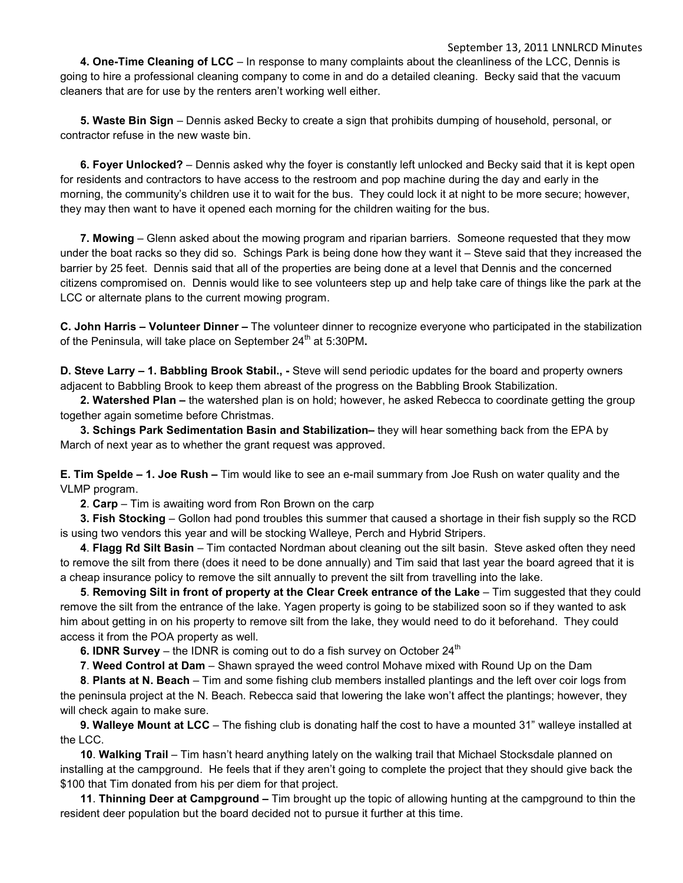September 13, 2011 LNNLRCD Minutes  **4. One-Time Cleaning of LCC** – In response to many complaints about the cleanliness of the LCC, Dennis is going to hire a professional cleaning company to come in and do a detailed cleaning. Becky said that the vacuum cleaners that are for use by the renters aren't working well either.

 **5. Waste Bin Sign** – Dennis asked Becky to create a sign that prohibits dumping of household, personal, or contractor refuse in the new waste bin.

**6. Foyer Unlocked?** – Dennis asked why the foyer is constantly left unlocked and Becky said that it is kept open for residents and contractors to have access to the restroom and pop machine during the day and early in the morning, the community's children use it to wait for the bus. They could lock it at night to be more secure; however, they may then want to have it opened each morning for the children waiting for the bus.

**7. Mowing** – Glenn asked about the mowing program and riparian barriers. Someone requested that they mow under the boat racks so they did so. Schings Park is being done how they want it – Steve said that they increased the barrier by 25 feet. Dennis said that all of the properties are being done at a level that Dennis and the concerned citizens compromised on. Dennis would like to see volunteers step up and help take care of things like the park at the LCC or alternate plans to the current mowing program.

**C. John Harris – Volunteer Dinner –** The volunteer dinner to recognize everyone who participated in the stabilization of the Peninsula, will take place on September 24<sup>th</sup> at 5:30PM.

**D. Steve Larry – 1. Babbling Brook Stabil., -** Steve will send periodic updates for the board and property owners adjacent to Babbling Brook to keep them abreast of the progress on the Babbling Brook Stabilization.

 **2. Watershed Plan –** the watershed plan is on hold; however, he asked Rebecca to coordinate getting the group together again sometime before Christmas.

 **3. Schings Park Sedimentation Basin and Stabilization–** they will hear something back from the EPA by March of next year as to whether the grant request was approved.

**E. Tim Spelde – 1. Joe Rush –** Tim would like to see an e-mail summary from Joe Rush on water quality and the VLMP program.

 **2**. **Carp** – Tim is awaiting word from Ron Brown on the carp

 **3. Fish Stocking** – Gollon had pond troubles this summer that caused a shortage in their fish supply so the RCD is using two vendors this year and will be stocking Walleye, Perch and Hybrid Stripers.

 **4**. **Flagg Rd Silt Basin** – Tim contacted Nordman about cleaning out the silt basin. Steve asked often they need to remove the silt from there (does it need to be done annually) and Tim said that last year the board agreed that it is a cheap insurance policy to remove the silt annually to prevent the silt from travelling into the lake.

 **5**. **Removing Silt in front of property at the Clear Creek entrance of the Lake** – Tim suggested that they could remove the silt from the entrance of the lake. Yagen property is going to be stabilized soon so if they wanted to ask him about getting in on his property to remove silt from the lake, they would need to do it beforehand. They could access it from the POA property as well.

**6. IDNR Survey** – the IDNR is coming out to do a fish survey on October  $24<sup>th</sup>$ 

 **7**. **Weed Control at Dam** – Shawn sprayed the weed control Mohave mixed with Round Up on the Dam

 **8**. **Plants at N. Beach** – Tim and some fishing club members installed plantings and the left over coir logs from the peninsula project at the N. Beach. Rebecca said that lowering the lake won't affect the plantings; however, they will check again to make sure.

 **9. Walleye Mount at LCC** – The fishing club is donating half the cost to have a mounted 31" walleye installed at the LCC.

 **10**. **Walking Trail** – Tim hasn't heard anything lately on the walking trail that Michael Stocksdale planned on installing at the campground. He feels that if they aren't going to complete the project that they should give back the \$100 that Tim donated from his per diem for that project.

 **11**. **Thinning Deer at Campground –** Tim brought up the topic of allowing hunting at the campground to thin the resident deer population but the board decided not to pursue it further at this time.